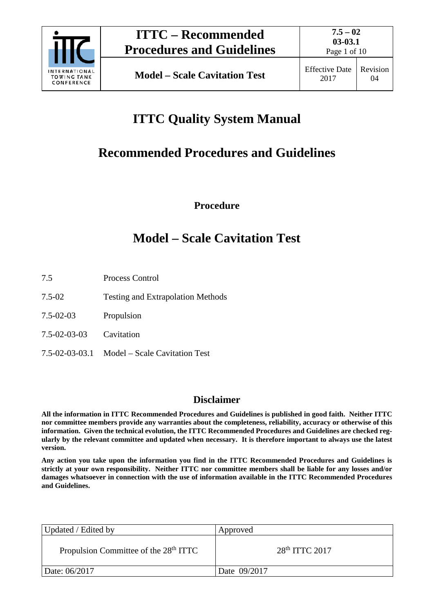

# **ITTC Quality System Manual**

# **Recommended Procedures and Guidelines**

**Procedure**

## **Model – Scale Cavitation Test**

- 7.5 Process Control
- 7.5-02 Testing and Extrapolation Methods
- 7.5-02-03 Propulsion
- 7.5-02-03-03 Cavitation
- 7.5-02-03-03.1 Model Scale Cavitation Test

## **Disclaimer**

**All the information in ITTC Recommended Procedures and Guidelines is published in good faith. Neither ITTC nor committee members provide any warranties about the completeness, reliability, accuracy or otherwise of this information. Given the technical evolution, the ITTC Recommended Procedures and Guidelines are checked regularly by the relevant committee and updated when necessary. It is therefore important to always use the latest version.**

**Any action you take upon the information you find in the ITTC Recommended Procedures and Guidelines is strictly at your own responsibility. Neither ITTC nor committee members shall be liable for any losses and/or damages whatsoever in connection with the use of information available in the ITTC Recommended Procedures and Guidelines.**

| Updated / Edited by                               | Approved           |  |
|---------------------------------------------------|--------------------|--|
| Propulsion Committee of the 28 <sup>th</sup> ITTC | $28th$ ITTC $2017$ |  |
| Date: 06/2017                                     | Date 09/2017       |  |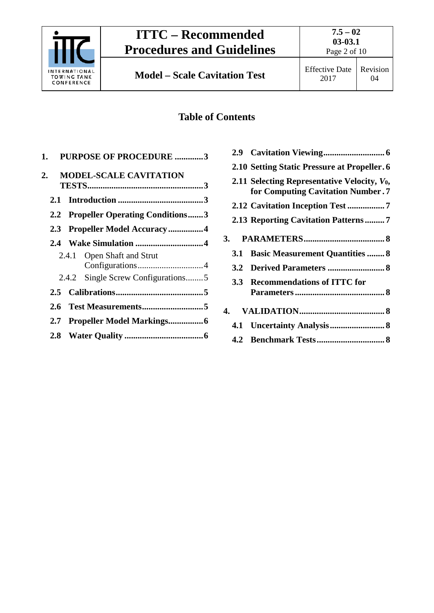

# **ITTC – Recommended Procedures and Guidelines**

## **Table of Contents**

| 1. PURPOSE OF PROCEDURE 3           |
|-------------------------------------|
| <b>MODEL-SCALE CAVITATION</b>       |
|                                     |
| 2.1                                 |
| 2.2 Propeller Operating Conditions3 |
| 2.3 Propeller Model Accuracy4       |
|                                     |
| 2.4.1 Open Shaft and Strut          |
|                                     |
| 2.4.2 Single Screw Configurations5  |
| $2.5 -$                             |
|                                     |
| 2.7                                 |
|                                     |
|                                     |

|            | 2.10 Setting Static Pressure at Propeller. 6                                         |
|------------|--------------------------------------------------------------------------------------|
|            | 2.11 Selecting Representative Velocity, $V_0$ ,<br>for Computing Cavitation Number.7 |
|            |                                                                                      |
|            | 2.13 Reporting Cavitation Patterns7                                                  |
|            |                                                                                      |
| 3.1        | <b>Basic Measurement Quantities  8</b>                                               |
| 3.2        |                                                                                      |
| <b>3.3</b> | <b>Recommendations of ITTC for</b>                                                   |
|            |                                                                                      |
|            |                                                                                      |
|            |                                                                                      |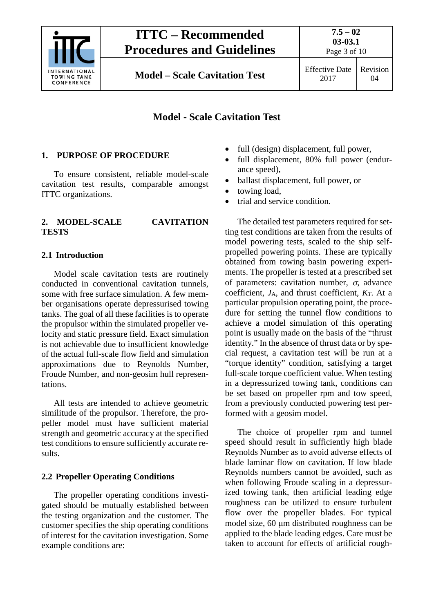

**Model – Scale Cavitation Test** Effective Date

2017

## **Model - Scale Cavitation Test**

## <span id="page-2-0"></span>**1. PURPOSE OF PROCEDURE**

To ensure consistent, reliable model-scale cavitation test results, comparable amongst ITTC organizations.

## <span id="page-2-1"></span>**2. MODEL-SCALE CAVITATION TESTS**

## <span id="page-2-2"></span>**2.1 Introduction**

Model scale cavitation tests are routinely conducted in conventional cavitation tunnels, some with free surface simulation. A few member organisations operate depressurised towing tanks. The goal of all these facilities is to operate the propulsor within the simulated propeller velocity and static pressure field. Exact simulation is not achievable due to insufficient knowledge of the actual full-scale flow field and simulation approximations due to Reynolds Number, Froude Number, and non-geosim hull representations.

All tests are intended to achieve geometric similitude of the propulsor. Therefore, the propeller model must have sufficient material strength and geometric accuracy at the specified test conditions to ensure sufficiently accurate results.

### <span id="page-2-3"></span>**2.2 Propeller Operating Conditions**

The propeller operating conditions investigated should be mutually established between the testing organization and the customer. The customer specifies the ship operating conditions of interest for the cavitation investigation. Some example conditions are:

- full (design) displacement, full power,
- full displacement, 80% full power (endurance speed),
- ballast displacement, full power, or
- towing load,
- trial and service condition.

The detailed test parameters required for setting test conditions are taken from the results of model powering tests, scaled to the ship selfpropelled powering points. These are typically obtained from towing basin powering experiments. The propeller is tested at a prescribed set of parameters: cavitation number,  $\sigma$ , advance coefficient,  $J_A$ , and thrust coefficient,  $K_T$ . At a particular propulsion operating point, the procedure for setting the tunnel flow conditions to achieve a model simulation of this operating point is usually made on the basis of the "thrust identity." In the absence of thrust data or by special request, a cavitation test will be run at a "torque identity" condition, satisfying a target full-scale torque coefficient value. When testing in a depressurized towing tank, conditions can be set based on propeller rpm and tow speed, from a previously conducted powering test performed with a geosim model.

The choice of propeller rpm and tunnel speed should result in sufficiently high blade Reynolds Number as to avoid adverse effects of blade laminar flow on cavitation. If low blade Reynolds numbers cannot be avoided, such as when following Froude scaling in a depressurized towing tank, then artificial leading edge roughness can be utilized to ensure turbulent flow over the propeller blades. For typical model size, 60 µm distributed roughness can be applied to the blade leading edges. Care must be taken to account for effects of artificial rough-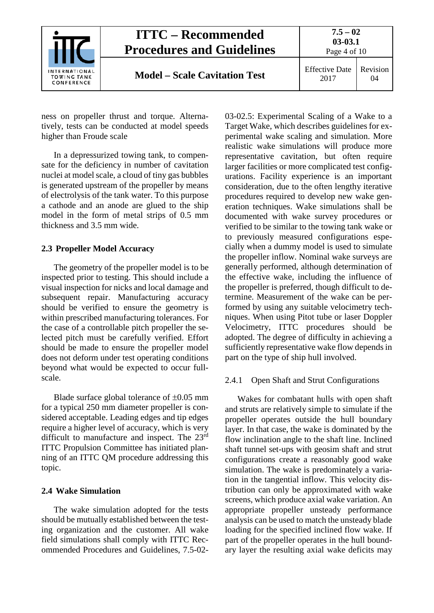

ness on propeller thrust and torque. Alternatively, tests can be conducted at model speeds higher than Froude scale

In a depressurized towing tank, to compensate for the deficiency in number of cavitation nuclei at model scale, a cloud of tiny gas bubbles is generated upstream of the propeller by means of electrolysis of the tank water. To this purpose a cathode and an anode are glued to the ship model in the form of metal strips of 0.5 mm thickness and 3.5 mm wide.

#### <span id="page-3-0"></span>**2.3 Propeller Model Accuracy**

The geometry of the propeller model is to be inspected prior to testing. This should include a visual inspection for nicks and local damage and subsequent repair. Manufacturing accuracy should be verified to ensure the geometry is within prescribed manufacturing tolerances. For the case of a controllable pitch propeller the selected pitch must be carefully verified. Effort should be made to ensure the propeller model does not deform under test operating conditions beyond what would be expected to occur fullscale.

Blade surface global tolerance of  $\pm 0.05$  mm for a typical 250 mm diameter propeller is considered acceptable. Leading edges and tip edges require a higher level of accuracy, which is very difficult to manufacture and inspect. The 23rd ITTC Propulsion Committee has initiated planning of an ITTC QM procedure addressing this topic.

#### <span id="page-3-1"></span>**2.4 Wake Simulation**

The wake simulation adopted for the tests should be mutually established between the testing organization and the customer. All wake field simulations shall comply with ITTC Recommended Procedures and Guidelines, 7.5-0203-02.5: Experimental Scaling of a Wake to a Target Wake, which describes guidelines for experimental wake scaling and simulation. More realistic wake simulations will produce more representative cavitation, but often require larger facilities or more complicated test configurations. Facility experience is an important consideration, due to the often lengthy iterative procedures required to develop new wake generation techniques. Wake simulations shall be documented with wake survey procedures or verified to be similar to the towing tank wake or to previously measured configurations especially when a dummy model is used to simulate the propeller inflow. Nominal wake surveys are generally performed, although determination of the effective wake, including the influence of the propeller is preferred, though difficult to determine. Measurement of the wake can be performed by using any suitable velocimetry techniques. When using Pitot tube or laser Doppler Velocimetry, ITTC procedures should be adopted. The degree of difficulty in achieving a sufficiently representative wake flow depends in part on the type of ship hull involved.

#### <span id="page-3-2"></span>2.4.1 Open Shaft and Strut Configurations

Wakes for combatant hulls with open shaft and struts are relatively simple to simulate if the propeller operates outside the hull boundary layer. In that case, the wake is dominated by the flow inclination angle to the shaft line. Inclined shaft tunnel set-ups with geosim shaft and strut configurations create a reasonably good wake simulation. The wake is predominately a variation in the tangential inflow. This velocity distribution can only be approximated with wake screens, which produce axial wake variation. An appropriate propeller unsteady performance analysis can be used to match the unsteady blade loading for the specified inclined flow wake. If part of the propeller operates in the hull boundary layer the resulting axial wake deficits may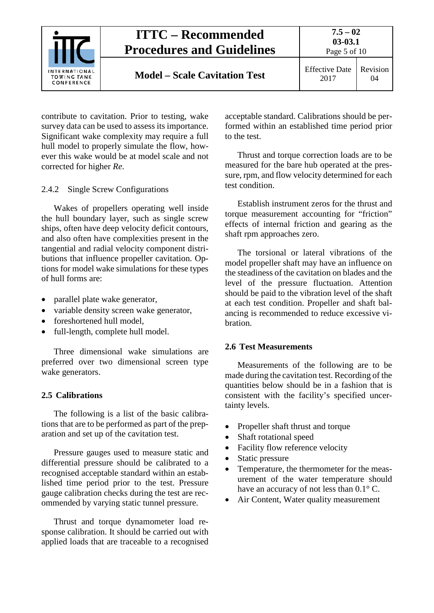

contribute to cavitation. Prior to testing, wake survey data can be used to assess its importance. Significant wake complexity may require a full hull model to properly simulate the flow, however this wake would be at model scale and not corrected for higher *Re*.

#### <span id="page-4-0"></span>2.4.2 Single Screw Configurations

Wakes of propellers operating well inside the hull boundary layer, such as single screw ships, often have deep velocity deficit contours, and also often have complexities present in the tangential and radial velocity component distributions that influence propeller cavitation. Options for model wake simulations for these types of hull forms are:

- parallel plate wake generator,
- variable density screen wake generator,
- foreshortened hull model,
- full-length, complete hull model.

Three dimensional wake simulations are preferred over two dimensional screen type wake generators.

#### <span id="page-4-1"></span>**2.5 Calibrations**

The following is a list of the basic calibrations that are to be performed as part of the preparation and set up of the cavitation test.

Pressure gauges used to measure static and differential pressure should be calibrated to a recognised acceptable standard within an established time period prior to the test. Pressure gauge calibration checks during the test are recommended by varying static tunnel pressure.

Thrust and torque dynamometer load response calibration. It should be carried out with applied loads that are traceable to a recognised

acceptable standard. Calibrations should be performed within an established time period prior to the test.

Thrust and torque correction loads are to be measured for the bare hub operated at the pressure, rpm, and flow velocity determined for each test condition.

Establish instrument zeros for the thrust and torque measurement accounting for "friction" effects of internal friction and gearing as the shaft rpm approaches zero.

The torsional or lateral vibrations of the model propeller shaft may have an influence on the steadiness of the cavitation on blades and the level of the pressure fluctuation. Attention should be paid to the vibration level of the shaft at each test condition. Propeller and shaft balancing is recommended to reduce excessive vibration.

#### <span id="page-4-2"></span>**2.6 Test Measurements**

Measurements of the following are to be made during the cavitation test. Recording of the quantities below should be in a fashion that is consistent with the facility's specified uncertainty levels.

- Propeller shaft thrust and torque
- Shaft rotational speed
- Facility flow reference velocity
- Static pressure
- Temperature, the thermometer for the measurement of the water temperature should have an accuracy of not less than 0.1° C.
- Air Content, Water quality measurement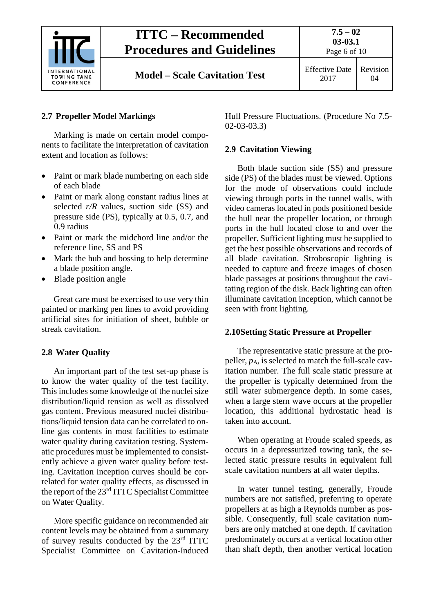

## **ITTC – Recommended Procedures and Guidelines**

Page 6 of 10

**Model – Scale Cavitation Test** Effective Date

## <span id="page-5-0"></span>**2.7 Propeller Model Markings**

Marking is made on certain model components to facilitate the interpretation of cavitation extent and location as follows:

- Paint or mark blade numbering on each side of each blade
- Paint or mark along constant radius lines at selected *r/R* values, suction side (SS) and pressure side (PS), typically at 0.5, 0.7, and 0.9 radius
- Paint or mark the midchord line and/or the reference line, SS and PS
- Mark the hub and bossing to help determine a blade position angle.
- Blade position angle

Great care must be exercised to use very thin painted or marking pen lines to avoid providing artificial sites for initiation of sheet, bubble or streak cavitation.

### <span id="page-5-1"></span>**2.8 Water Quality**

An important part of the test set-up phase is to know the water quality of the test facility. This includes some knowledge of the nuclei size distribution/liquid tension as well as dissolved gas content. Previous measured nuclei distributions/liquid tension data can be correlated to online gas contents in most facilities to estimate water quality during cavitation testing. Systematic procedures must be implemented to consistently achieve a given water quality before testing. Cavitation inception curves should be correlated for water quality effects, as discussed in the report of the 23rd ITTC Specialist Committee on Water Quality.

More specific guidance on recommended air content levels may be obtained from a summary of survey results conducted by the 23rd ITTC Specialist Committee on Cavitation-Induced Hull Pressure Fluctuations. (Procedure No 7.5- 02-03-03.3)

#### <span id="page-5-2"></span>**2.9 Cavitation Viewing**

Both blade suction side (SS) and pressure side (PS) of the blades must be viewed. Options for the mode of observations could include viewing through ports in the tunnel walls, with video cameras located in pods positioned beside the hull near the propeller location, or through ports in the hull located close to and over the propeller. Sufficient lighting must be supplied to get the best possible observations and records of all blade cavitation. Stroboscopic lighting is needed to capture and freeze images of chosen blade passages at positions throughout the cavitating region of the disk. Back lighting can often illuminate cavitation inception, which cannot be seen with front lighting.

#### <span id="page-5-3"></span>**2.10Setting Static Pressure at Propeller**

The representative static pressure at the propeller, *p*A, is selected to match the full-scale cavitation number. The full scale static pressure at the propeller is typically determined from the still water submergence depth. In some cases, when a large stern wave occurs at the propeller location, this additional hydrostatic head is taken into account.

When operating at Froude scaled speeds, as occurs in a depressurized towing tank, the selected static pressure results in equivalent full scale cavitation numbers at all water depths.

In water tunnel testing, generally, Froude numbers are not satisfied, preferring to operate propellers at as high a Reynolds number as possible. Consequently, full scale cavitation numbers are only matched at one depth. If cavitation predominately occurs at a vertical location other than shaft depth, then another vertical location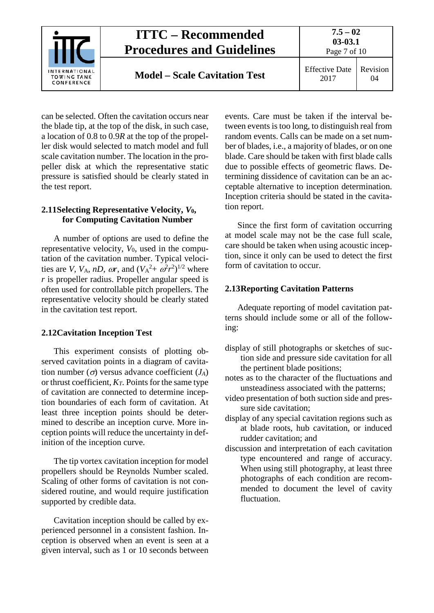

can be selected. Often the cavitation occurs near the blade tip, at the top of the disk, in such case, a location of 0.8 to 0.9*R* at the top of the propeller disk would selected to match model and full scale cavitation number. The location in the propeller disk at which the representative static pressure is satisfied should be clearly stated in the test report.

#### <span id="page-6-0"></span>**2.11Selecting Representative Velocity,** *V***0, for Computing Cavitation Number**

A number of options are used to define the representative velocity, *V*0, used in the computation of the cavitation number. Typical velocities are *V*, *V*<sub>A</sub>, *nD*, *ωr*, and  $(V_A^2 + \omega^2 r^2)^{1/2}$  where *r* is propeller radius. Propeller angular speed is often used for controllable pitch propellers. The representative velocity should be clearly stated in the cavitation test report.

#### <span id="page-6-1"></span>**2.12Cavitation Inception Test**

This experiment consists of plotting observed cavitation points in a diagram of cavitation number  $(\sigma)$  versus advance coefficient  $(J_A)$ or thrust coefficient, *KT*. Points for the same type of cavitation are connected to determine inception boundaries of each form of cavitation. At least three inception points should be determined to describe an inception curve. More inception points will reduce the uncertainty in definition of the inception curve.

The tip vortex cavitation inception for model propellers should be Reynolds Number scaled. Scaling of other forms of cavitation is not considered routine, and would require justification supported by credible data.

Cavitation inception should be called by experienced personnel in a consistent fashion. Inception is observed when an event is seen at a given interval, such as 1 or 10 seconds between events. Care must be taken if the interval between events is too long, to distinguish real from random events. Calls can be made on a set number of blades, i.e., a majority of blades, or on one blade. Care should be taken with first blade calls due to possible effects of geometric flaws. Determining dissidence of cavitation can be an acceptable alternative to inception determination. Inception criteria should be stated in the cavitation report.

Since the first form of cavitation occurring at model scale may not be the case full scale, care should be taken when using acoustic inception, since it only can be used to detect the first form of cavitation to occur.

#### <span id="page-6-2"></span>**2.13Reporting Cavitation Patterns**

Adequate reporting of model cavitation patterns should include some or all of the following:

- display of still photographs or sketches of suction side and pressure side cavitation for all the pertinent blade positions;
- notes as to the character of the fluctuations and unsteadiness associated with the patterns;
- video presentation of both suction side and pressure side cavitation;
- display of any special cavitation regions such as at blade roots, hub cavitation, or induced rudder cavitation; and
- discussion and interpretation of each cavitation type encountered and range of accuracy. When using still photography, at least three photographs of each condition are recommended to document the level of cavity fluctuation.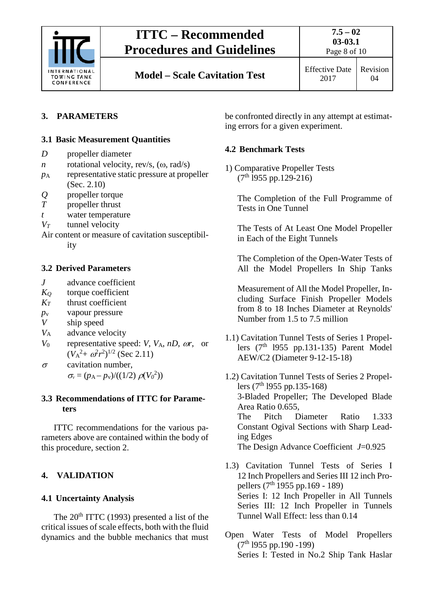

## <span id="page-7-1"></span><span id="page-7-0"></span>**3. PARAMETERS**

### **3.1 Basic Measurement Quantities**

- *D* propeller diameter
- *n* rotational velocity, rev/s, (ω, rad/s)
- *p*<sup>A</sup> representative static pressure at propeller (Sec. 2.10)
- *Q* propeller torque<br>*T* propeller thrust
- propeller thrust
- *t* water temperature
- *VT* tunnel velocity
- Air content or measure of cavitation susceptibil-

ity

#### <span id="page-7-2"></span>**3.2 Derived Parameters**

- *J* advance coefficient
- *KQ* torque coefficient
- $K_T$  thrust coefficient
- $p_v$  vapour pressure<br>*V* ship speed
- ship speed
- *V*<sup>A</sup> advance velocity
- *V*<sup>0</sup> representative speed: *V*, *V*A, *nD*, ω*r*, or  $(V_A^2 + \omega^2 r^2)^{1/2}$  (Sec 2.11)
- $\sigma$  cavitation number,  $\sigma_v = (p_A - p_v) / ((1/2) \, \rho(V_0^2))$

#### <span id="page-7-3"></span>**3.3 Recommendations of ITTC for Parameters**

ITTC recommendations for the various parameters above are contained within the body of this procedure, section 2.

## <span id="page-7-5"></span><span id="page-7-4"></span>**4. VALIDATION**

### **4.1 Uncertainty Analysis**

The  $20<sup>th</sup> ITTC$  (1993) presented a list of the critical issues of scale effects, both with the fluid dynamics and the bubble mechanics that must be confronted directly in any attempt at estimating errors for a given experiment.

## <span id="page-7-6"></span>**4.2 Benchmark Tests**

1) Comparative Propeller Tests  $(7<sup>th</sup> 1955 pp.129-216)$ 

The Completion of the Full Programme of Tests in One Tunnel

The Tests of At Least One Model Propeller in Each of the Eight Tunnels

The Completion of the Open-Water Tests of All the Model Propellers In Ship Tanks

Measurement of All the Model Propeller, Including Surface Finish Propeller Models from 8 to 18 Inches Diameter at Reynolds' Number from 1.5 to 7.5 million

1.1) Cavitation Tunnel Tests of Series 1 Propellers  $(7<sup>th</sup> 1955 pp.131-135)$  Parent Model AEW/C2 (Diameter 9-12-15-18)

1.2) Cavitation Tunnel Tests of Series 2 Propellers  $(7<sup>th</sup> 1955 pp.135-168)$ 3-Bladed Propeller; The Developed Blade Area Ratio 0.655, The Pitch Diameter Ratio 1.333 Constant Ogival Sections with Sharp Leading Edges The Design Advance Coefficient *J*=0.925

1.3) Cavitation Tunnel Tests of Series I 12 Inch Propellers and Series III 12 inch Propellers  $(7^{th}$  1955 pp.169 - 189) Series I: 12 Inch Propeller in All Tunnels Series III: 12 Inch Propeller in Tunnels Tunnel Wall Effect: less than 0.14

Open Water Tests of Model Propellers  $(7<sup>th</sup> 1955 pp.190 -199)$ Series I: Tested in No.2 Ship Tank Haslar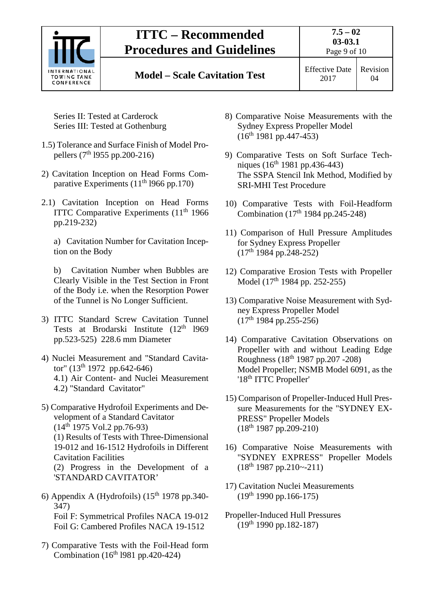

## **ITTC – Recommended Procedures and Guidelines**

## **Model – Scale Cavitation Test** Effective Date

Page 9 of 10

Series II: Tested at Carderock Series III: Tested at Gothenburg

- 1.5) Tolerance and Surface Finish of Model Propellers ( $7^{th}$  1955 pp.200-216)
- 2) Cavitation Inception on Head Forms Comparative Experiments  $(11<sup>th</sup> 1966$  pp.170)
- 2.1) Cavitation Inception on Head Forms ITTC Comparative Experiments  $(11<sup>th</sup> 1966)$ pp.219-232)

a) Cavitation Number for Cavitation Inception on the Body

b) Cavitation Number when Bubbles are Clearly Visible in the Test Section in Front of the Body i.e. when the Resorption Power of the Tunnel is No Longer Sufficient.

- 3) ITTC Standard Screw Cavitation Tunnel Tests at Brodarski Institute (12<sup>th</sup> 1969 pp.523-525) 228.6 mm Diameter
- 4) Nuclei Measurement and "Standard Cavitator" (13<sup>th</sup> 1972 pp.642-646) 4.1) Air Content- and Nuclei Measurement 4.2) "Standard Cavitator"

5) Comparative Hydrofoil Experiments and Development of a Standard Cavitator  $(14<sup>th</sup> 1975 Vol.2 pp.76-93)$ (1) Results of Tests with Three-Dimensional 19-012 and 16-1512 Hydrofoils in Different Cavitation Facilities (2) Progress in the Development of a 'STANDARD CAVITATOR'

- 6) Appendix A (Hydrofoils)  $(15<sup>th</sup> 1978$  pp.340-347) Foil F: Symmetrical Profiles NACA 19-012 Foil G: Cambered Profiles NACA 19-1512
- 7) Comparative Tests with the Foil-Head form Combination ( $16<sup>th</sup>$  1981 pp.420-424)
- 8) Comparative Noise Measurements with the Sydney Express Propeller Model  $(16^{th} 1981 pp.447-453)$
- 9) Comparative Tests on Soft Surface Techniques (16<sup>th</sup> 1981 pp.436-443) The SSPA Stencil Ink Method, Modified by SRI-MHI Test Procedure
- 10) Comparative Tests with Foil-Headform Combination  $(17<sup>th</sup> 1984$  pp.245-248)
- 11) Comparison of Hull Pressure Amplitudes for Sydney Express Propeller  $(17<sup>th</sup> 1984 pp.248-252)$
- 12) Comparative Erosion Tests with Propeller Model (17<sup>th</sup> 1984 pp. 252-255)
- 13) Comparative Noise Measurement with Sydney Express Propeller Model  $(17<sup>th</sup> 1984 pp.255-256)$
- 14) Comparative Cavitation Observations on Propeller with and without Leading Edge Roughness (18th 1987 pp.207 -208) Model Propeller; NSMB Model 6091, as the '18<sup>th</sup> ITTC Propeller'
- 15) Comparison of Propeller-Induced Hull Pressure Measurements for the "SYDNEY EX-PRESS" Propeller Models (18th 1987 pp.209-210)
- 16) Comparative Noise Measurements with "SYDNEY EXPRESS" Propeller Models  $(18^{th} 1987 pp.210 - 211)$
- 17) Cavitation Nuclei Measurements  $(19<sup>th</sup> 1990 pp.166-175)$
- Propeller-Induced Hull Pressures  $(19^{th} 1990 \text{ pp}.182-187)$